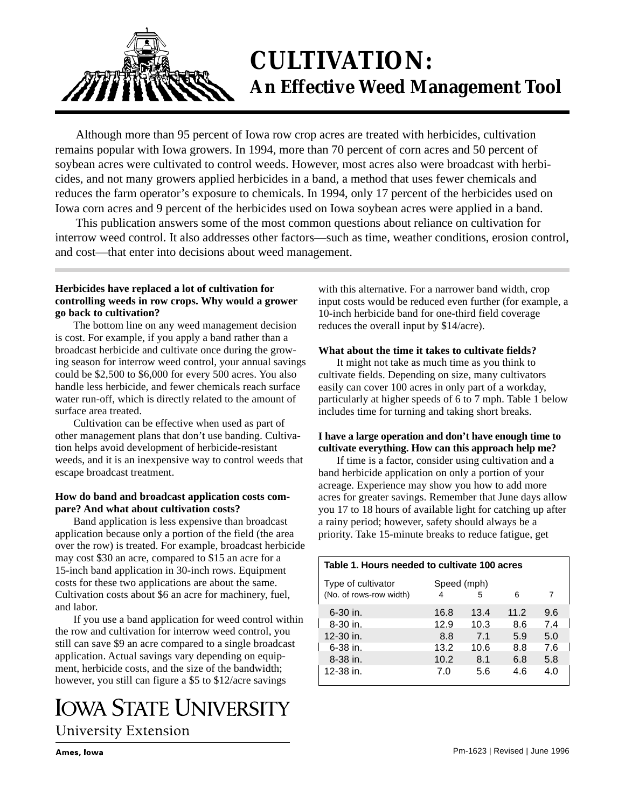

# **CULTIVATION: An Effective Weed Management Tool**

Although more than 95 percent of Iowa row crop acres are treated with herbicides, cultivation remains popular with Iowa growers. In 1994, more than 70 percent of corn acres and 50 percent of soybean acres were cultivated to control weeds. However, most acres also were broadcast with herbicides, and not many growers applied herbicides in a band, a method that uses fewer chemicals and reduces the farm operator's exposure to chemicals. In 1994, only 17 percent of the herbicides used on Iowa corn acres and 9 percent of the herbicides used on Iowa soybean acres were applied in a band.

This publication answers some of the most common questions about reliance on cultivation for interrow weed control. It also addresses other factors—such as time, weather conditions, erosion control, and cost—that enter into decisions about weed management.

## **Herbicides have replaced a lot of cultivation for controlling weeds in row crops. Why would a grower go back to cultivation?**

The bottom line on any weed management decision is cost. For example, if you apply a band rather than a broadcast herbicide and cultivate once during the growing season for interrow weed control, your annual savings could be \$2,500 to \$6,000 for every 500 acres. You also handle less herbicide, and fewer chemicals reach surface water run-off, which is directly related to the amount of surface area treated.

Cultivation can be effective when used as part of other management plans that don't use banding. Cultivation helps avoid development of herbicide-resistant weeds, and it is an inexpensive way to control weeds that escape broadcast treatment.

### **How do band and broadcast application costs compare? And what about cultivation costs?**

Band application is less expensive than broadcast application because only a portion of the field (the area over the row) is treated. For example, broadcast herbicide may cost \$30 an acre, compared to \$15 an acre for a 15-inch band application in 30-inch rows. Equipment costs for these two applications are about the same. Cultivation costs about \$6 an acre for machinery, fuel, and labor.

If you use a band application for weed control within the row and cultivation for interrow weed control, you still can save \$9 an acre compared to a single broadcast application. Actual savings vary depending on equipment, herbicide costs, and the size of the bandwidth; however, you still can figure a \$5 to \$12/acre savings

# **IOWA STATE UNIVERSITY University Extension**

with this alternative. For a narrower band width, crop input costs would be reduced even further (for example, a 10-inch herbicide band for one-third field coverage reduces the overall input by \$14/acre).

# **What about the time it takes to cultivate fields?**

It might not take as much time as you think to cultivate fields. Depending on size, many cultivators easily can cover 100 acres in only part of a workday, particularly at higher speeds of 6 to 7 mph. Table 1 below includes time for turning and taking short breaks.

### **I have a large operation and don't have enough time to cultivate everything. How can this approach help me?**

If time is a factor, consider using cultivation and a band herbicide application on only a portion of your acreage. Experience may show you how to add more acres for greater savings. Remember that June days allow you 17 to 18 hours of available light for catching up after a rainy period; however, safety should always be a priority. Take 15-minute breaks to reduce fatigue, get

| Table 1. Hours needed to cultivate 100 acres |             |      |      |     |  |  |
|----------------------------------------------|-------------|------|------|-----|--|--|
| Type of cultivator                           | Speed (mph) |      |      |     |  |  |
| (No. of rows-row width)                      | 4           | 5    | 6    | 7   |  |  |
| 6-30 in.                                     | 16.8        | 13.4 | 11.2 | 9.6 |  |  |
| 8-30 in.                                     | 12.9        | 10.3 | 8.6  | 7.4 |  |  |
| 12-30 in.                                    | 8.8         | 7.1  | 5.9  | 5.0 |  |  |
| 6-38 in.                                     | 13.2        | 10.6 | 8.8  | 7.6 |  |  |
| 8-38 in.                                     | 10.2        | 8.1  | 6.8  | 5.8 |  |  |
| 12-38 in.                                    | 7.0         | 5.6  | 4.6  | 4.0 |  |  |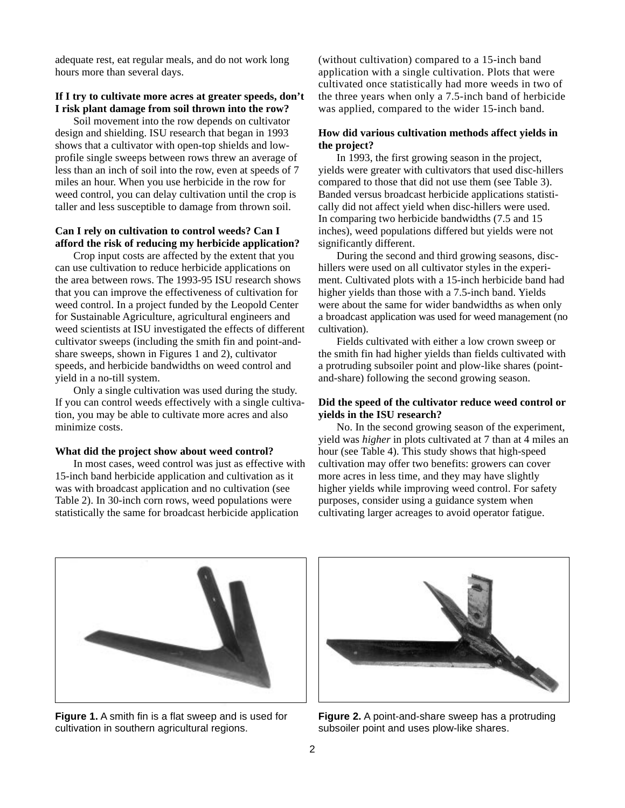adequate rest, eat regular meals, and do not work long hours more than several days.

#### **If I try to cultivate more acres at greater speeds, don't I risk plant damage from soil thrown into the row?**

Soil movement into the row depends on cultivator design and shielding. ISU research that began in 1993 shows that a cultivator with open-top shields and lowprofile single sweeps between rows threw an average of less than an inch of soil into the row, even at speeds of 7 miles an hour. When you use herbicide in the row for weed control, you can delay cultivation until the crop is taller and less susceptible to damage from thrown soil.

#### **Can I rely on cultivation to control weeds? Can I afford the risk of reducing my herbicide application?**

Crop input costs are affected by the extent that you can use cultivation to reduce herbicide applications on the area between rows. The 1993-95 ISU research shows that you can improve the effectiveness of cultivation for weed control. In a project funded by the Leopold Center for Sustainable Agriculture, agricultural engineers and weed scientists at ISU investigated the effects of different cultivator sweeps (including the smith fin and point-andshare sweeps, shown in Figures 1 and 2), cultivator speeds, and herbicide bandwidths on weed control and yield in a no-till system.

Only a single cultivation was used during the study. If you can control weeds effectively with a single cultivation, you may be able to cultivate more acres and also minimize costs.

#### **What did the project show about weed control?**

In most cases, weed control was just as effective with 15-inch band herbicide application and cultivation as it was with broadcast application and no cultivation (see Table 2). In 30-inch corn rows, weed populations were statistically the same for broadcast herbicide application

(without cultivation) compared to a 15-inch band application with a single cultivation. Plots that were cultivated once statistically had more weeds in two of the three years when only a 7.5-inch band of herbicide was applied, compared to the wider 15-inch band.

#### **How did various cultivation methods affect yields in the project?**

In 1993, the first growing season in the project, yields were greater with cultivators that used disc-hillers compared to those that did not use them (see Table 3). Banded versus broadcast herbicide applications statistically did not affect yield when disc-hillers were used. In comparing two herbicide bandwidths (7.5 and 15 inches), weed populations differed but yields were not significantly different.

During the second and third growing seasons, dischillers were used on all cultivator styles in the experiment. Cultivated plots with a 15-inch herbicide band had higher yields than those with a 7.5-inch band. Yields were about the same for wider bandwidths as when only a broadcast application was used for weed management (no cultivation).

Fields cultivated with either a low crown sweep or the smith fin had higher yields than fields cultivated with a protruding subsoiler point and plow-like shares (pointand-share) following the second growing season.

#### **Did the speed of the cultivator reduce weed control or yields in the ISU research?**

No. In the second growing season of the experiment, yield was *higher* in plots cultivated at 7 than at 4 miles an hour (see Table 4). This study shows that high-speed cultivation may offer two benefits: growers can cover more acres in less time, and they may have slightly higher yields while improving weed control. For safety purposes, consider using a guidance system when cultivating larger acreages to avoid operator fatigue.



**Figure 1.** A smith fin is a flat sweep and is used for cultivation in southern agricultural regions.



**Figure 2.** A point-and-share sweep has a protruding subsoiler point and uses plow-like shares.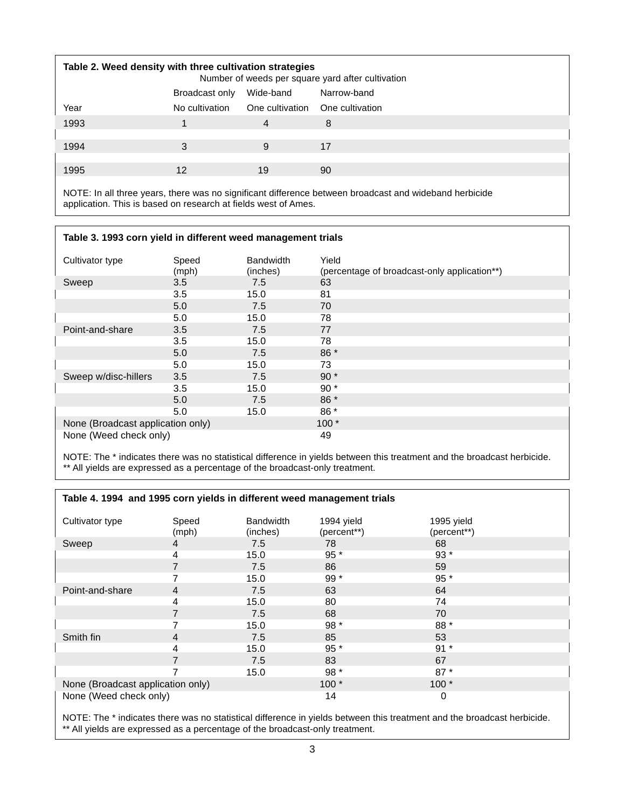| Table 2. Weed density with three cultivation strategies<br>Number of weeds per square yard after cultivation |                |           |                                 |  |
|--------------------------------------------------------------------------------------------------------------|----------------|-----------|---------------------------------|--|
|                                                                                                              | Broadcast only | Wide-band | Narrow-band                     |  |
| Year                                                                                                         | No cultivation |           | One cultivation One cultivation |  |
| 1993                                                                                                         |                | 4         | 8                               |  |
|                                                                                                              |                |           |                                 |  |
| 1994                                                                                                         | 3              | 9         | 17                              |  |
|                                                                                                              |                |           |                                 |  |
| 1995                                                                                                         | 12             | 19        | 90                              |  |
|                                                                                                              |                |           |                                 |  |

NOTE: In all three years, there was no significant difference between broadcast and wideband herbicide application. This is based on research at fields west of Ames.

### **Table 3. 1993 corn yield in different weed management trials**

| Cultivator type                   | Speed<br>(mph) | <b>Bandwidth</b><br>(inches) | Yield<br>(percentage of broadcast-only application**) |
|-----------------------------------|----------------|------------------------------|-------------------------------------------------------|
| Sweep                             | 3.5            | 7.5                          | 63                                                    |
|                                   | 3.5            | 15.0                         | 81                                                    |
|                                   | 5.0            | 7.5                          | 70                                                    |
|                                   | 5.0            | 15.0                         | 78                                                    |
| Point-and-share                   | 3.5            | 7.5                          | 77                                                    |
|                                   | 3.5            | 15.0                         | 78                                                    |
|                                   | 5.0            | 7.5                          | 86 *                                                  |
|                                   | 5.0            | 15.0                         | 73                                                    |
| Sweep w/disc-hillers              | 3.5            | 7.5                          | $90*$                                                 |
|                                   | 3.5            | 15.0                         | $90*$                                                 |
|                                   | 5.0            | 7.5                          | 86 *                                                  |
|                                   | 5.0            | 15.0                         | 86 *                                                  |
| None (Broadcast application only) |                |                              | $100*$                                                |
| None (Weed check only)            |                |                              | 49                                                    |

NOTE: The \* indicates there was no statistical difference in yields between this treatment and the broadcast herbicide. \*\* All yields are expressed as a percentage of the broadcast-only treatment.

| Table 4. 1994 and 1995 corn yields in different weed management trials |                |                              |                           |                           |
|------------------------------------------------------------------------|----------------|------------------------------|---------------------------|---------------------------|
| Cultivator type                                                        | Speed<br>(mph) | <b>Bandwidth</b><br>(inches) | 1994 yield<br>(percent**) | 1995 yield<br>(percent**) |
| Sweep                                                                  | 4              | 7.5                          | 78                        | 68                        |
|                                                                        | 4              | 15.0                         | $95*$                     | $93*$                     |
|                                                                        |                | 7.5                          | 86                        | 59                        |
|                                                                        |                | 15.0                         | $99*$                     | 95 *                      |
| Point-and-share                                                        | 4              | 7.5                          | 63                        | 64                        |
|                                                                        | 4              | 15.0                         | 80                        | 74                        |
|                                                                        |                | 7.5                          | 68                        | 70                        |
|                                                                        |                | 15.0                         | 98 *                      | 88 *                      |
| Smith fin                                                              | 4              | 7.5                          | 85                        | 53                        |
|                                                                        | 4              | 15.0                         | $95*$                     | $91*$                     |
|                                                                        |                | 7.5                          | 83                        | 67                        |
|                                                                        |                | 15.0                         | $98*$                     | $87*$                     |
| None (Broadcast application only)                                      |                | $100*$                       | $100*$                    |                           |
| None (Weed check only)                                                 |                |                              | 14                        | 0                         |

NOTE: The \* indicates there was no statistical difference in yields between this treatment and the broadcast herbicide. \*\* All yields are expressed as a percentage of the broadcast-only treatment.